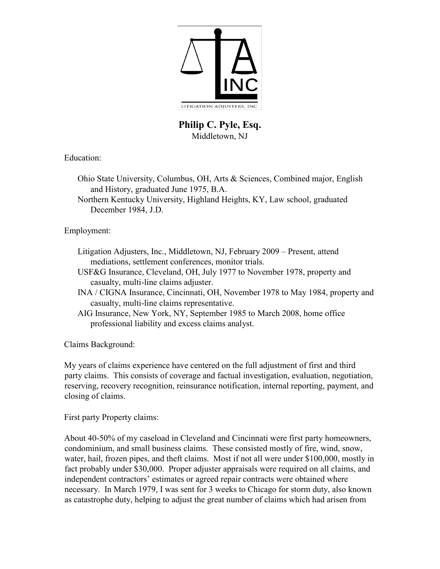

## **Philip C. Pyle, Esq.**  Middletown, NJ

Education:

Ohio State University, Columbus, OH, Arts & Sciences, Combined major, English and History, graduated June 1975, B.A.

Northern Kentucky University, Highland Heights, KY, Law school, graduated December 1984, J.D.

Employment:

- Litigation Adjusters, Inc., Middletown, NJ, February 2009 Present, attend mediations, settlement conferences, monitor trials.
- USF&G Insurance, Cleveland, OH, July 1977 to November 1978, property and casualty, multi-line claims adjuster.
- INA / CIGNA Insurance, Cincinnati, OH, November 1978 to May 1984, property and casualty, multi-line claims representative.
- AIG Insurance, New York, NY, September 1985 to March 2008, home office professional liability and excess claims analyst.

Claims Background:

My years of claims experience have centered on the full adjustment of first and third party claims. This consists of coverage and factual investigation, evaluation, negotiation, reserving, recovery recognition, reinsurance notification, internal reporting, payment, and closing of claims.

First party Property claims:

About 40-50% of my caseload in Cleveland and Cincinnati were first party homeowners, condominium, and small business claims. These consisted mostly of fire, wind, snow, water, hail, frozen pipes, and theft claims. Most if not all were under \$100,000, mostly in fact probably under \$30,000. Proper adjuster appraisals were required on all claims, and independent contractors' estimates or agreed repair contracts were obtained where necessary. In March 1979, I was sent for 3 weeks to Chicago for storm duty, also known as catastrophe duty, helping to adjust the great number of claims which had arisen from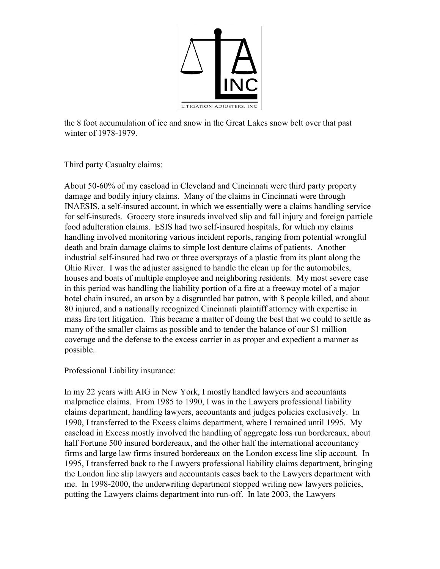

the 8 foot accumulation of ice and snow in the Great Lakes snow belt over that past winter of 1978-1979.

Third party Casualty claims:

About 50-60% of my caseload in Cleveland and Cincinnati were third party property damage and bodily injury claims. Many of the claims in Cincinnati were through INAESIS, a self-insured account, in which we essentially were a claims handling service for self-insureds. Grocery store insureds involved slip and fall injury and foreign particle food adulteration claims. ESIS had two self-insured hospitals, for which my claims handling involved monitoring various incident reports, ranging from potential wrongful death and brain damage claims to simple lost denture claims of patients. Another industrial self-insured had two or three oversprays of a plastic from its plant along the Ohio River. I was the adjuster assigned to handle the clean up for the automobiles, houses and boats of multiple employee and neighboring residents. My most severe case in this period was handling the liability portion of a fire at a freeway motel of a major hotel chain insured, an arson by a disgruntled bar patron, with 8 people killed, and about 80 injured, and a nationally recognized Cincinnati plaintiff attorney with expertise in mass fire tort litigation. This became a matter of doing the best that we could to settle as many of the smaller claims as possible and to tender the balance of our \$1 million coverage and the defense to the excess carrier in as proper and expedient a manner as possible.

Professional Liability insurance:

In my 22 years with AIG in New York, I mostly handled lawyers and accountants malpractice claims. From 1985 to 1990, I was in the Lawyers professional liability claims department, handling lawyers, accountants and judges policies exclusively. In 1990, I transferred to the Excess claims department, where I remained until 1995. My caseload in Excess mostly involved the handling of aggregate loss run bordereaux, about half Fortune 500 insured bordereaux, and the other half the international accountancy firms and large law firms insured bordereaux on the London excess line slip account. In 1995, I transferred back to the Lawyers professional liability claims department, bringing the London line slip lawyers and accountants cases back to the Lawyers department with me. In 1998-2000, the underwriting department stopped writing new lawyers policies, putting the Lawyers claims department into run-off. In late 2003, the Lawyers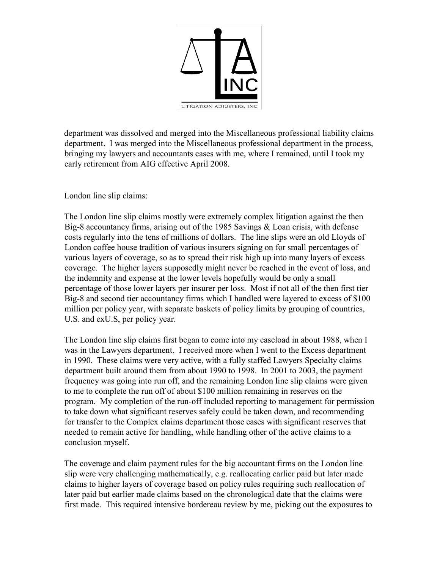

department was dissolved and merged into the Miscellaneous professional liability claims department. I was merged into the Miscellaneous professional department in the process, bringing my lawyers and accountants cases with me, where I remained, until I took my early retirement from AIG effective April 2008.

London line slip claims:

The London line slip claims mostly were extremely complex litigation against the then Big-8 accountancy firms, arising out of the 1985 Savings & Loan crisis, with defense costs regularly into the tens of millions of dollars. The line slips were an old Lloyds of London coffee house tradition of various insurers signing on for small percentages of various layers of coverage, so as to spread their risk high up into many layers of excess coverage. The higher layers supposedly might never be reached in the event of loss, and the indemnity and expense at the lower levels hopefully would be only a small percentage of those lower layers per insurer per loss. Most if not all of the then first tier Big-8 and second tier accountancy firms which I handled were layered to excess of \$100 million per policy year, with separate baskets of policy limits by grouping of countries, U.S. and exU.S, per policy year.

The London line slip claims first began to come into my caseload in about 1988, when I was in the Lawyers department. I received more when I went to the Excess department in 1990. These claims were very active, with a fully staffed Lawyers Specialty claims department built around them from about 1990 to 1998. In 2001 to 2003, the payment frequency was going into run off, and the remaining London line slip claims were given to me to complete the run off of about \$100 million remaining in reserves on the program. My completion of the run-off included reporting to management for permission to take down what significant reserves safely could be taken down, and recommending for transfer to the Complex claims department those cases with significant reserves that needed to remain active for handling, while handling other of the active claims to a conclusion myself.

The coverage and claim payment rules for the big accountant firms on the London line slip were very challenging mathematically, e.g. reallocating earlier paid but later made claims to higher layers of coverage based on policy rules requiring such reallocation of later paid but earlier made claims based on the chronological date that the claims were first made. This required intensive bordereau review by me, picking out the exposures to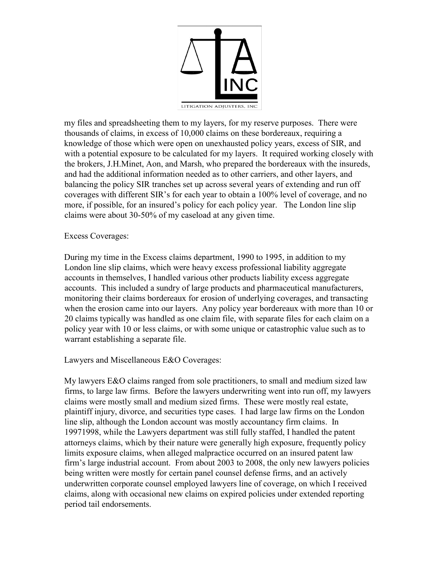

my files and spreadsheeting them to my layers, for my reserve purposes. There were thousands of claims, in excess of 10,000 claims on these bordereaux, requiring a knowledge of those which were open on unexhausted policy years, excess of SIR, and with a potential exposure to be calculated for my layers. It required working closely with the brokers, J.H.Minet, Aon, and Marsh, who prepared the bordereaux with the insureds, and had the additional information needed as to other carriers, and other layers, and balancing the policy SIR tranches set up across several years of extending and run off coverages with different SIR's for each year to obtain a 100% level of coverage, and no more, if possible, for an insured's policy for each policy year. The London line slip claims were about 30-50% of my caseload at any given time.

## Excess Coverages:

During my time in the Excess claims department, 1990 to 1995, in addition to my London line slip claims, which were heavy excess professional liability aggregate accounts in themselves, I handled various other products liability excess aggregate accounts. This included a sundry of large products and pharmaceutical manufacturers, monitoring their claims bordereaux for erosion of underlying coverages, and transacting when the erosion came into our layers. Any policy year bordereaux with more than 10 or 20 claims typically was handled as one claim file, with separate files for each claim on a policy year with 10 or less claims, or with some unique or catastrophic value such as to warrant establishing a separate file.

## Lawyers and Miscellaneous E&O Coverages:

My lawyers E&O claims ranged from sole practitioners, to small and medium sized law firms, to large law firms. Before the lawyers underwriting went into run off, my lawyers claims were mostly small and medium sized firms. These were mostly real estate, plaintiff injury, divorce, and securities type cases. I had large law firms on the London line slip, although the London account was mostly accountancy firm claims. In 19971998, while the Lawyers department was still fully staffed, I handled the patent attorneys claims, which by their nature were generally high exposure, frequently policy limits exposure claims, when alleged malpractice occurred on an insured patent law firm's large industrial account. From about 2003 to 2008, the only new lawyers policies being written were mostly for certain panel counsel defense firms, and an actively underwritten corporate counsel employed lawyers line of coverage, on which I received claims, along with occasional new claims on expired policies under extended reporting period tail endorsements.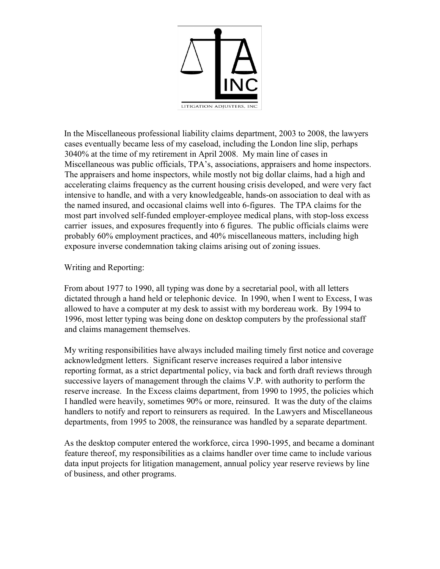

In the Miscellaneous professional liability claims department, 2003 to 2008, the lawyers cases eventually became less of my caseload, including the London line slip, perhaps 3040% at the time of my retirement in April 2008. My main line of cases in Miscellaneous was public officials, TPA's, associations, appraisers and home inspectors. The appraisers and home inspectors, while mostly not big dollar claims, had a high and accelerating claims frequency as the current housing crisis developed, and were very fact intensive to handle, and with a very knowledgeable, hands-on association to deal with as the named insured, and occasional claims well into 6-figures. The TPA claims for the most part involved self-funded employer-employee medical plans, with stop-loss excess carrier issues, and exposures frequently into 6 figures. The public officials claims were probably 60% employment practices, and 40% miscellaneous matters, including high exposure inverse condemnation taking claims arising out of zoning issues.

Writing and Reporting:

From about 1977 to 1990, all typing was done by a secretarial pool, with all letters dictated through a hand held or telephonic device. In 1990, when I went to Excess, I was allowed to have a computer at my desk to assist with my bordereau work. By 1994 to 1996, most letter typing was being done on desktop computers by the professional staff and claims management themselves.

My writing responsibilities have always included mailing timely first notice and coverage acknowledgment letters. Significant reserve increases required a labor intensive reporting format, as a strict departmental policy, via back and forth draft reviews through successive layers of management through the claims V.P. with authority to perform the reserve increase. In the Excess claims department, from 1990 to 1995, the policies which I handled were heavily, sometimes 90% or more, reinsured. It was the duty of the claims handlers to notify and report to reinsurers as required. In the Lawyers and Miscellaneous departments, from 1995 to 2008, the reinsurance was handled by a separate department.

As the desktop computer entered the workforce, circa 1990-1995, and became a dominant feature thereof, my responsibilities as a claims handler over time came to include various data input projects for litigation management, annual policy year reserve reviews by line of business, and other programs.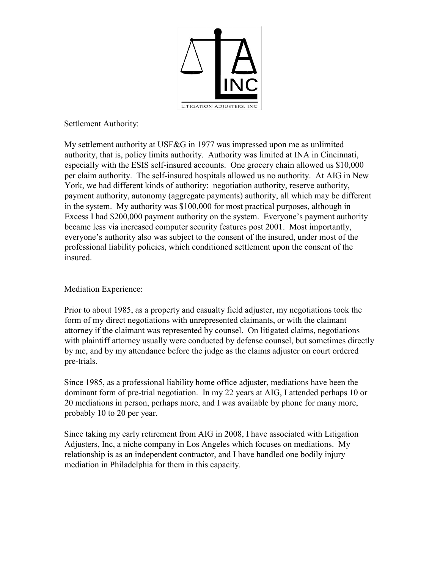

Settlement Authority:

My settlement authority at USF&G in 1977 was impressed upon me as unlimited authority, that is, policy limits authority. Authority was limited at INA in Cincinnati, especially with the ESIS self-insured accounts. One grocery chain allowed us \$10,000 per claim authority. The self-insured hospitals allowed us no authority. At AIG in New York, we had different kinds of authority: negotiation authority, reserve authority, payment authority, autonomy (aggregate payments) authority, all which may be different in the system. My authority was \$100,000 for most practical purposes, although in Excess I had \$200,000 payment authority on the system. Everyone's payment authority became less via increased computer security features post 2001. Most importantly, everyone's authority also was subject to the consent of the insured, under most of the professional liability policies, which conditioned settlement upon the consent of the insured.

Mediation Experience:

Prior to about 1985, as a property and casualty field adjuster, my negotiations took the form of my direct negotiations with unrepresented claimants, or with the claimant attorney if the claimant was represented by counsel. On litigated claims, negotiations with plaintiff attorney usually were conducted by defense counsel, but sometimes directly by me, and by my attendance before the judge as the claims adjuster on court ordered pre-trials.

Since 1985, as a professional liability home office adjuster, mediations have been the dominant form of pre-trial negotiation. In my 22 years at AIG, I attended perhaps 10 or 20 mediations in person, perhaps more, and I was available by phone for many more, probably 10 to 20 per year.

Since taking my early retirement from AIG in 2008, I have associated with Litigation Adjusters, Inc, a niche company in Los Angeles which focuses on mediations. My relationship is as an independent contractor, and I have handled one bodily injury mediation in Philadelphia for them in this capacity.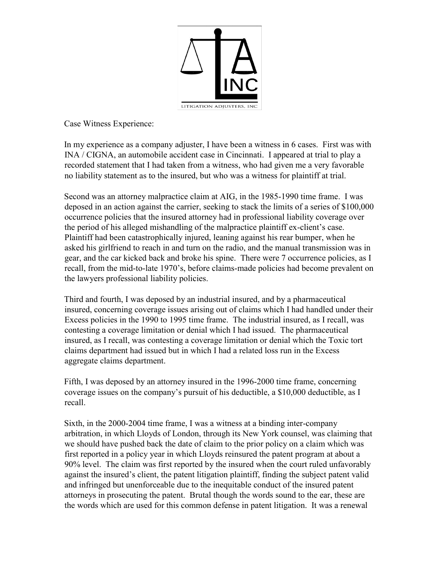

Case Witness Experience:

In my experience as a company adjuster, I have been a witness in 6 cases. First was with INA / CIGNA, an automobile accident case in Cincinnati. I appeared at trial to play a recorded statement that I had taken from a witness, who had given me a very favorable no liability statement as to the insured, but who was a witness for plaintiff at trial.

Second was an attorney malpractice claim at AIG, in the 1985-1990 time frame. I was deposed in an action against the carrier, seeking to stack the limits of a series of \$100,000 occurrence policies that the insured attorney had in professional liability coverage over the period of his alleged mishandling of the malpractice plaintiff ex-client's case. Plaintiff had been catastrophically injured, leaning against his rear bumper, when he asked his girlfriend to reach in and turn on the radio, and the manual transmission was in gear, and the car kicked back and broke his spine. There were 7 occurrence policies, as I recall, from the mid-to-late 1970's, before claims-made policies had become prevalent on the lawyers professional liability policies.

Third and fourth, I was deposed by an industrial insured, and by a pharmaceutical insured, concerning coverage issues arising out of claims which I had handled under their Excess policies in the 1990 to 1995 time frame. The industrial insured, as I recall, was contesting a coverage limitation or denial which I had issued. The pharmaceutical insured, as I recall, was contesting a coverage limitation or denial which the Toxic tort claims department had issued but in which I had a related loss run in the Excess aggregate claims department.

Fifth, I was deposed by an attorney insured in the 1996-2000 time frame, concerning coverage issues on the company's pursuit of his deductible, a \$10,000 deductible, as I recall.

Sixth, in the 2000-2004 time frame, I was a witness at a binding inter-company arbitration, in which Lloyds of London, through its New York counsel, was claiming that we should have pushed back the date of claim to the prior policy on a claim which was first reported in a policy year in which Lloyds reinsured the patent program at about a 90% level. The claim was first reported by the insured when the court ruled unfavorably against the insured's client, the patent litigation plaintiff, finding the subject patent valid and infringed but unenforceable due to the inequitable conduct of the insured patent attorneys in prosecuting the patent. Brutal though the words sound to the ear, these are the words which are used for this common defense in patent litigation. It was a renewal